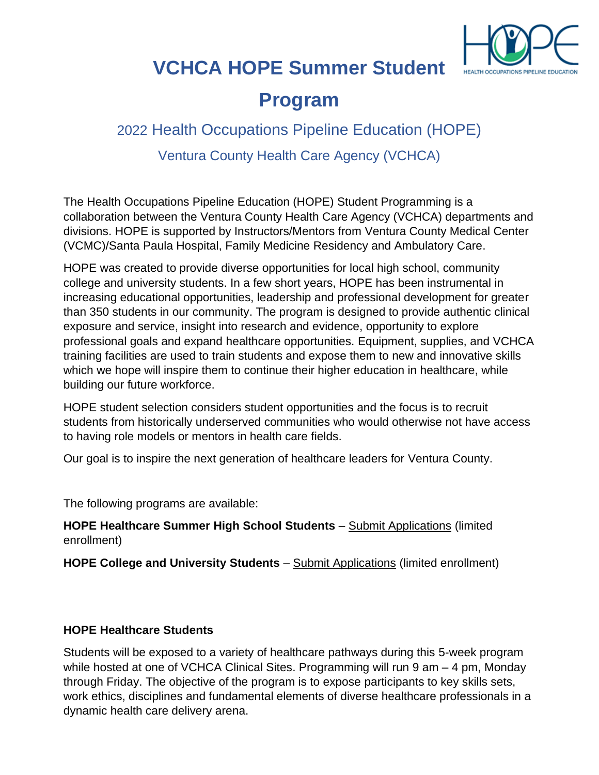

# **VCHCA HOPE Summer Student**

## **Program**

### 2022 Health Occupations Pipeline Education (HOPE)

Ventura County Health Care Agency (VCHCA)

The Health Occupations Pipeline Education (HOPE) Student Programming is a collaboration between the Ventura County Health Care Agency (VCHCA) departments and divisions. HOPE is supported by Instructors/Mentors from Ventura County Medical Center (VCMC)/Santa Paula Hospital, Family Medicine Residency and Ambulatory Care.

HOPE was created to provide diverse opportunities for local high school, community college and university students. In a few short years, HOPE has been instrumental in increasing educational opportunities, leadership and professional development for greater than 350 students in our community. The program is designed to provide authentic clinical exposure and service, insight into research and evidence, opportunity to explore professional goals and expand healthcare opportunities. Equipment, supplies, and VCHCA training facilities are used to train students and expose them to new and innovative skills which we hope will inspire them to continue their higher education in healthcare, while building our future workforce.

HOPE student selection considers student opportunities and the focus is to recruit students from historically underserved communities who would otherwise not have access to having role models or mentors in health care fields.

Our goal is to inspire the next generation of healthcare leaders for Ventura County.

The following programs are available:

**HOPE Healthcare Summer High School Students** – Submit Applications (limited enrollment)

**HOPE College and University Students** – Submit Applications (limited enrollment)

### **HOPE Healthcare Students**

Students will be exposed to a variety of healthcare pathways during this 5-week program while hosted at one of VCHCA Clinical Sites. Programming will run 9 am – 4 pm, Monday through Friday. The objective of the program is to expose participants to key skills sets, work ethics, disciplines and fundamental elements of diverse healthcare professionals in a dynamic health care delivery arena.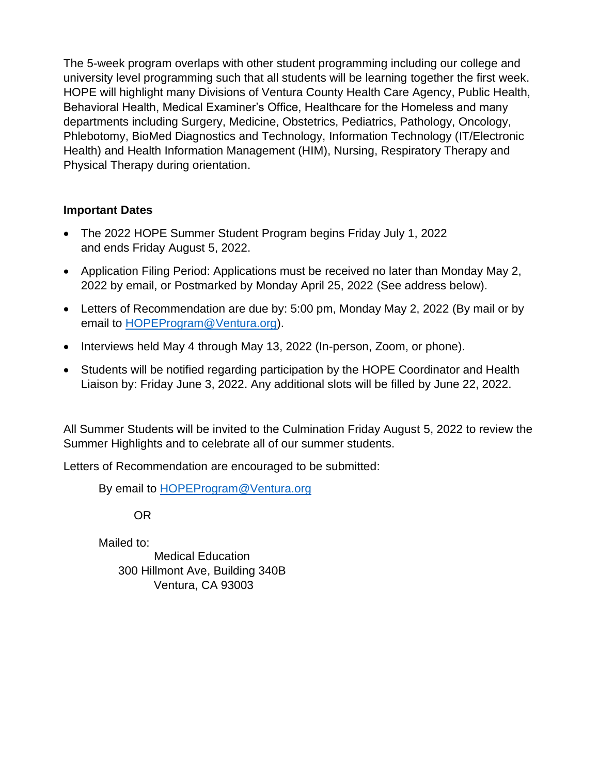The 5-week program overlaps with other student programming including our college and university level programming such that all students will be learning together the first week. HOPE will highlight many Divisions of Ventura County Health Care Agency, Public Health, Behavioral Health, Medical Examiner's Office, Healthcare for the Homeless and many departments including Surgery, Medicine, Obstetrics, Pediatrics, Pathology, Oncology, Phlebotomy, BioMed Diagnostics and Technology, Information Technology (IT/Electronic Health) and Health Information Management (HIM), Nursing, Respiratory Therapy and Physical Therapy during orientation.

### **Important Dates**

- The 2022 HOPE Summer Student Program begins Friday July 1, 2022 and ends Friday August 5, 2022.
- Application Filing Period: Applications must be received no later than Monday May 2, 2022 by email, or Postmarked by Monday April 25, 2022 (See address below).
- Letters of Recommendation are due by: 5:00 pm, Monday May 2, 2022 (By mail or by email to [HOPEProgram@Ventura.org\)](mailto:HOPEProgram@Ventura.org).
- Interviews held May 4 through May 13, 2022 (In-person, Zoom, or phone).
- Students will be notified regarding participation by the HOPE Coordinator and Health Liaison by: Friday June 3, 2022. Any additional slots will be filled by June 22, 2022.

All Summer Students will be invited to the Culmination Friday August 5, 2022 to review the Summer Highlights and to celebrate all of our summer students.

Letters of Recommendation are encouraged to be submitted:

By email to [HOPEProgram@Ventura.org](mailto:HOPEProgram@Ventura.org)

OR

Mailed to: Medical Education 300 Hillmont Ave, Building 340B Ventura, CA 93003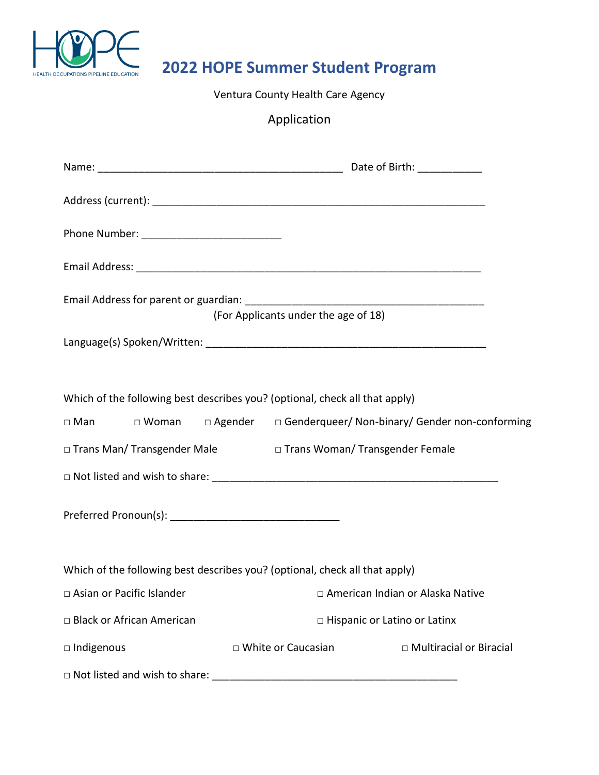

# **2022 HOPE Summer Student Program**

Ventura County Health Care Agency

Application

| (For Applicants under the age of 18)                                                                                                                                           |                                     |                           |  |
|--------------------------------------------------------------------------------------------------------------------------------------------------------------------------------|-------------------------------------|---------------------------|--|
|                                                                                                                                                                                |                                     |                           |  |
| Which of the following best describes you? (optional, check all that apply)<br>$\Box$ Woman $\Box$ Agender $\Box$ Genderqueer/ Non-binary/ Gender non-conforming<br>$\Box$ Man |                                     |                           |  |
| □ Trans Man/ Transgender Male<br>□ Trans Woman/ Transgender Female                                                                                                             |                                     |                           |  |
|                                                                                                                                                                                |                                     |                           |  |
|                                                                                                                                                                                |                                     |                           |  |
| Which of the following best describes you? (optional, check all that apply)                                                                                                    |                                     |                           |  |
| □ Asian or Pacific Islander                                                                                                                                                    | □ American Indian or Alaska Native  |                           |  |
| □ Black or African American                                                                                                                                                    | $\Box$ Hispanic or Latino or Latinx |                           |  |
| □ Indigenous                                                                                                                                                                   | $\Box$ White or Caucasian           | □ Multiracial or Biracial |  |
|                                                                                                                                                                                |                                     |                           |  |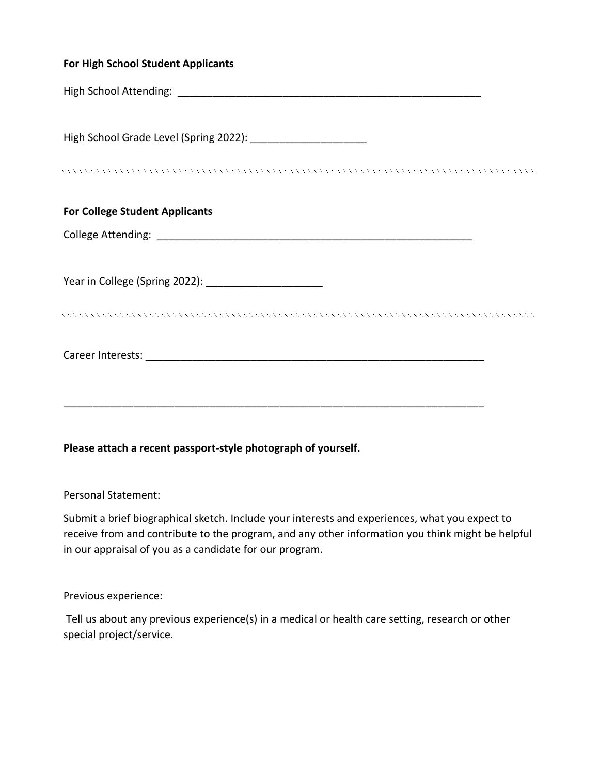| <b>For High School Student Applicants</b>             |
|-------------------------------------------------------|
|                                                       |
|                                                       |
|                                                       |
| <b>For College Student Applicants</b>                 |
|                                                       |
| Year in College (Spring 2022): ______________________ |
|                                                       |
|                                                       |
|                                                       |
|                                                       |

#### **Please attach a recent passport-style photograph of yourself.**

Personal Statement:

Submit a brief biographical sketch. Include your interests and experiences, what you expect to receive from and contribute to the program, and any other information you think might be helpful in our appraisal of you as a candidate for our program.

#### Previous experience:

Tell us about any previous experience(s) in a medical or health care setting, research or other special project/service.